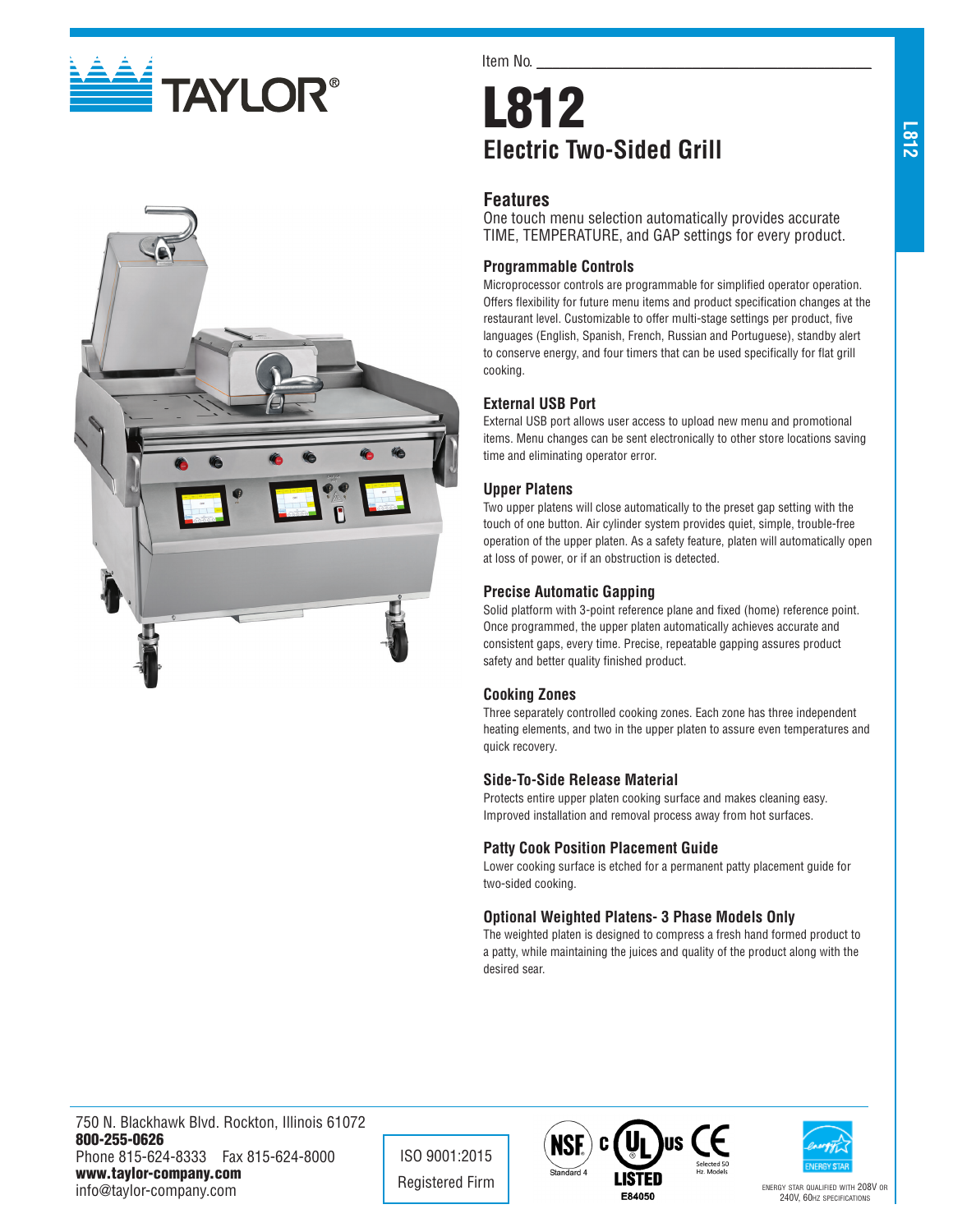



Item No.

# L812 **Electric Two-Sided Grill**

# **Features**

One touch menu selection automatically provides accurate TIME, TEMPERATURE, and GAP settings for every product.

## **Programmable Controls**

Microprocessor controls are programmable for simplified operator operation. Offers flexibility for future menu items and product specification changes at the restaurant level. Customizable to offer multi-stage settings per product, five languages (English, Spanish, French, Russian and Portuguese), standby alert to conserve energy, and four timers that can be used specifically for flat grill cooking.

# **External USB Port**

External USB port allows user access to upload new menu and promotional items. Menu changes can be sent electronically to other store locations saving time and eliminating operator error.

### **Upper Platens**

Two upper platens will close automatically to the preset gap setting with the touch of one button. Air cylinder system provides quiet, simple, trouble-free operation of the upper platen. As a safety feature, platen will automatically open at loss of power, or if an obstruction is detected.

### **Precise Automatic Gapping**

Solid platform with 3-point reference plane and fixed (home) reference point. Once programmed, the upper platen automatically achieves accurate and consistent gaps, every time. Precise, repeatable gapping assures product safety and better quality finished product.

### **Cooking Zones**

Three separately controlled cooking zones. Each zone has three independent heating elements, and two in the upper platen to assure even temperatures and quick recovery.

### **Side-To-Side Release Material**

Protects entire upper platen cooking surface and makes cleaning easy. Improved installation and removal process away from hot surfaces.

### **Patty Cook Position Placement Guide**

Lower cooking surface is etched for a permanent patty placement guide for two-sided cooking.

#### **Optional Weighted Platens- 3 Phase Models Only**

The weighted platen is designed to compress a fresh hand formed product to a patty, while maintaining the juices and quality of the product along with the desired sear.

750 N. Blackhawk Blvd. Rockton, Illinois 61072 800-255-0626 Phone 815-624-8333 Fax 815-624-8000 www.taylor-company.com info@taylor-company.com

ISO 9001:2015





240V, 60hz specifications